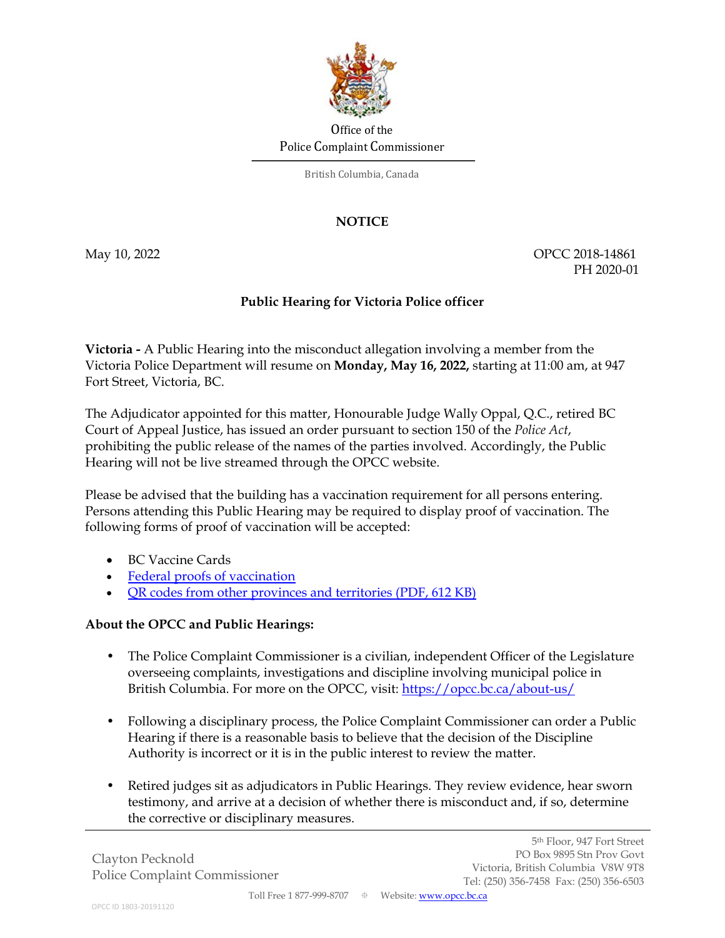

## Office of the Police Complaint Commissioner

British Columbia, Canada

## **NOTICE**

May 10, 2022 **OPCC 2018-14861** PH 2020-01

5th Floor, 947 Fort Street

## **Public Hearing for Victoria Police officer**

**Victoria -** A Public Hearing into the misconduct allegation involving a member from the Victoria Police Department will resume on **Monday, May 16, 2022,** starting at 11:00 am, at 947 Fort Street, Victoria, BC.

The Adjudicator appointed for this matter, Honourable Judge Wally Oppal, Q.C., retired BC Court of Appeal Justice, has issued an order pursuant to section 150 of the *Police Act*, prohibiting the public release of the names of the parties involved. Accordingly, the Public Hearing will not be live streamed through the OPCC website.

Please be advised that the building has a vaccination requirement for all persons entering. Persons attending this Public Hearing may be required to display proof of vaccination. The following forms of proof of vaccination will be accepted:

- BC Vaccine Cards
- Federal proofs of vaccination
- QR codes from other provinces and territories (PDF, 612 KB)

## **About the OPCC and Public Hearings:**

- The Police Complaint Commissioner is a civilian, independent Officer of the Legislature overseeing complaints, investigations and discipline involving municipal police in British Columbia. For more on the OPCC, visit: https://opcc.bc.ca/about-us/
- Following a disciplinary process, the Police Complaint Commissioner can order a Public Hearing if there is a reasonable basis to believe that the decision of the Discipline Authority is incorrect or it is in the public interest to review the matter.
- Retired judges sit as adjudicators in Public Hearings. They review evidence, hear sworn testimony, and arrive at a decision of whether there is misconduct and, if so, determine the corrective or disciplinary measures.